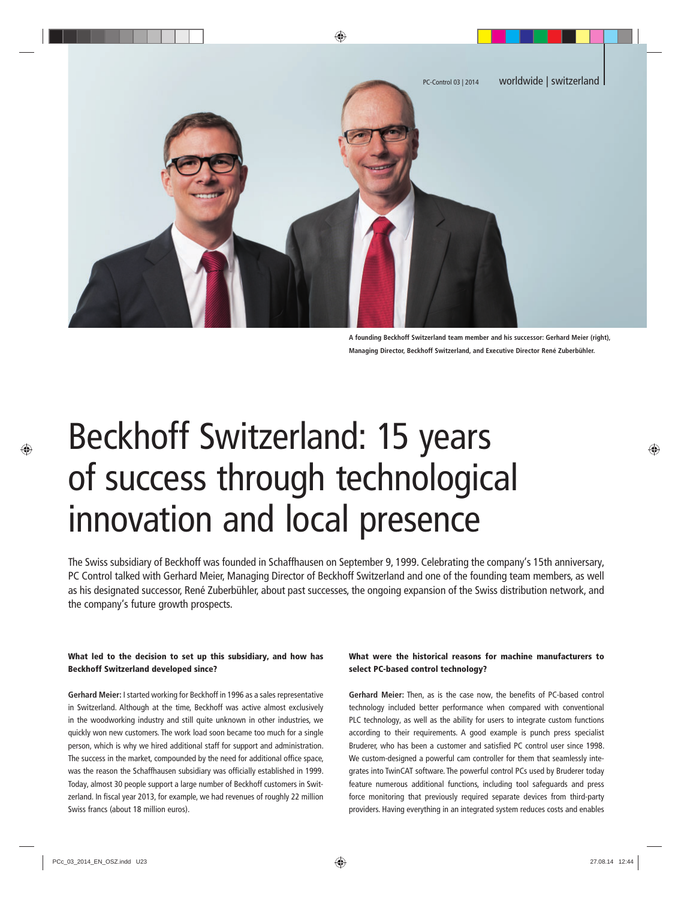

**A founding Beckhoff Switzerland team member and his successor: Gerhard Meier (right), Managing Director, Beckhoff Switzerland, and Executive Director René Zuberbühler.** 

# Beckhoff Switzerland: 15 years of success through technological innovation and local presence

The Swiss subsidiary of Beckhoff was founded in Schaffhausen on September 9, 1999. Celebrating the company's 15th anniversary, PC Control talked with Gerhard Meier, Managing Director of Beckhoff Switzerland and one of the founding team members, as well as his designated successor, René Zuberbühler, about past successes, the ongoing expansion of the Swiss distribution network, and the company's future growth prospects.

#### What led to the decision to set up this subsidiary, and how has Beckhoff Switzerland developed since?

**Gerhard Meier:** I started working for Beckhoff in 1996 as a sales representative in Switzerland. Although at the time, Beckhoff was active almost exclusively in the woodworking industry and still quite unknown in other industries, we quickly won new customers. The work load soon became too much for a single person, which is why we hired additional staff for support and administration. The success in the market, compounded by the need for additional office space, was the reason the Schaffhausen subsidiary was officially established in 1999. Today, almost 30 people support a large number of Beckhoff customers in Switzerland. In fiscal year 2013, for example, we had revenues of roughly 22 million Swiss francs (about 18 million euros).

# What were the historical reasons for machine manufacturers to select PC-based control technology?

**Gerhard Meier:** Then, as is the case now, the benefits of PC-based control technology included better performance when compared with conventional PLC technology, as well as the ability for users to integrate custom functions according to their requirements. A good example is punch press specialist Bruderer, who has been a customer and satisfied PC control user since 1998. We custom-designed a powerful cam controller for them that seamlessly integrates into TwinCAT software. The powerful control PCs used by Bruderer today feature numerous additional functions, including tool safeguards and press force monitoring that previously required separate devices from third-party providers. Having everything in an integrated system reduces costs and enables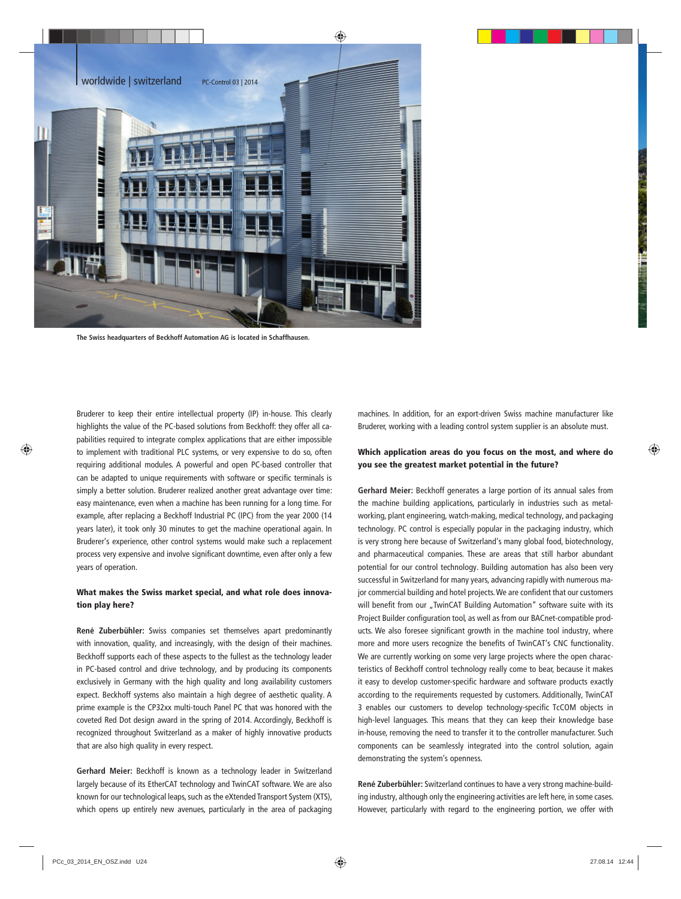

**The Swiss headquarters of Beckhoff Automation AG is located in Schaffhausen.**

Bruderer to keep their entire intellectual property (IP) in-house. This clearly highlights the value of the PC-based solutions from Beckhoff: they offer all capabilities required to integrate complex applications that are either impossible to implement with traditional PLC systems, or very expensive to do so, often requiring additional modules. A powerful and open PC-based controller that can be adapted to unique requirements with software or specific terminals is simply a better solution. Bruderer realized another great advantage over time: easy maintenance, even when a machine has been running for a long time. For example, after replacing a Beckhoff Industrial PC (IPC) from the year 2000 (14 years later), it took only 30 minutes to get the machine operational again. In Bruderer's experience, other control systems would make such a replacement process very expensive and involve significant downtime, even after only a few years of operation.

#### What makes the Swiss market special, and what role does innovation play here?

**René Zuberbühler:** Swiss companies set themselves apart predominantly with innovation, quality, and increasingly, with the design of their machines. Beckhoff supports each of these aspects to the fullest as the technology leader in PC-based control and drive technology, and by producing its components exclusively in Germany with the high quality and long availability customers expect. Beckhoff systems also maintain a high degree of aesthetic quality. A prime example is the CP32xx multi-touch Panel PC that was honored with the coveted Red Dot design award in the spring of 2014. Accordingly, Beckhoff is recognized throughout Switzerland as a maker of highly innovative products that are also high quality in every respect.

**Gerhard Meier:** Beckhoff is known as a technology leader in Switzerland largely because of its EtherCAT technology and TwinCAT software. We are also known for our technological leaps, such as the eXtended Transport System (XTS), which opens up entirely new avenues, particularly in the area of packaging machines. In addition, for an export-driven Swiss machine manufacturer like Bruderer, working with a leading control system supplier is an absolute must.

## Which application areas do you focus on the most, and where do you see the greatest market potential in the future?

**Gerhard Meier:** Beckhoff generates a large portion of its annual sales from the machine building applications, particularly in industries such as metalworking, plant engineering, watch-making, medical technology, and packaging technology. PC control is especially popular in the packaging industry, which is very strong here because of Switzerland's many global food, biotechnology, and pharmaceutical companies. These are areas that still harbor abundant potential for our control technology. Building automation has also been very successful in Switzerland for many years, advancing rapidly with numerous major commercial building and hotel projects. We are confident that our customers will benefit from our "TwinCAT Building Automation" software suite with its Project Builder configuration tool, as well as from our BACnet-compatible products. We also foresee significant growth in the machine tool industry, where more and more users recognize the benefits of TwinCAT's CNC functionality. We are currently working on some very large projects where the open characteristics of Beckhoff control technology really come to bear, because it makes it easy to develop customer-specific hardware and software products exactly according to the requirements requested by customers. Additionally, TwinCAT 3 enables our customers to develop technology-specific TcCOM objects in high-level languages. This means that they can keep their knowledge base in-house, removing the need to transfer it to the controller manufacturer. Such components can be seamlessly integrated into the control solution, again demonstrating the system's openness.

**René Zuberbühler:** Switzerland continues to have a very strong machine-building industry, although only the engineering activities are left here, in some cases. However, particularly with regard to the engineering portion, we offer with